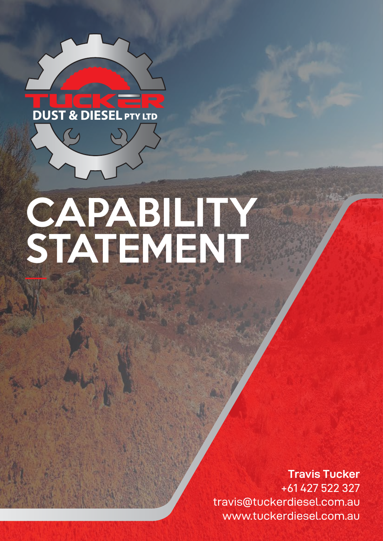

# CAPABILITY STATEMENT

**Travis Tucker** +61 427 522 327 travis@tuckerdiesel.com.au www.tuckerdiesel.com.au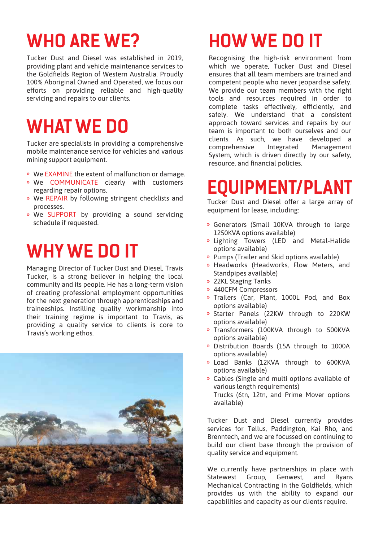# **WHO ARE WE?**

Tucker Dust and Diesel was established in 2019, providing plant and vehicle maintenance services to the Goldfields Region of Western Australia. Proudly 100% Aboriginal Owned and Operated, we focus our efforts on providing reliable and high-quality servicing and repairs to our clients.

# **WHAT WE DO**

Tucker are specialists in providing a comprehensive mobile maintenance service for vehicles and various mining support equipment.

- » We EXAMINE the extent of malfunction or damage.
- » We COMMUNICATE clearly with customers regarding repair options.
- » We REPAIR by following stringent checklists and processes.
- » We SUPPORT by providing a sound servicing schedule if requested.

### **WHY WE DO IT**

Managing Director of Tucker Dust and Diesel, Travis Tucker, is a strong believer in helping the local community and its people. He has a long-term vision of creating professional employment opportunities for the next generation through apprenticeships and traineeships. Instilling quality workmanship into their training regime is important to Travis, as providing a quality service to clients is core to Travis's working ethos.



# **HOW WE DO IT**

Recognising the high-risk environment from which we operate, Tucker Dust and Diesel ensures that all team members are trained and competent people who never jeopardise safety. We provide our team members with the right tools and resources required in order to complete tasks effectively, efficiently, and safely. We understand that a consistent approach toward services and repairs by our team is important to both ourselves and our clients. As such, we have developed a comprehensive Integrated Management System, which is driven directly by our safety, resource, and financial policies.

#### **EQUIPMENT/PLANT**

Tucker Dust and Diesel offer a large array of equipment for lease, including:

- » Generators (Small 10KVA through to large 1250KVA options available)
- » Lighting Towers (LED and Metal-Halide options available)
- » Pumps (Trailer and Skid options available)
- » Headworks (Headworks, Flow Meters, and Standpipes available)
- 22KL Staging Tanks »
- 440CFM Compressors »
- » Trailers (Car, Plant, 1000L Pod, and Box options available)
- » Starter Panels (22KW through to 220KW options available)
- » Transformers (100KVA through to 500KVA options available)
- » Distribution Boards (15A through to 1000A options available)
- » Load Banks (12KVA through to 600KVA options available)
- Cables (Single and multi options available of » various length requirements) Trucks (6tn, 12tn, and Prime Mover options available)

Tucker Dust and Diesel currently provides services for Tellus, Paddington, Kai Rho, and Brenntech, and we are focussed on continuing to build our client base through the provision of quality service and equipment.

We currently have partnerships in place with Statewest Group, Genwest, and Ryans Mechanical Contracting in the Goldfields, which provides us with the ability to expand our capabilities and capacity as our clients require.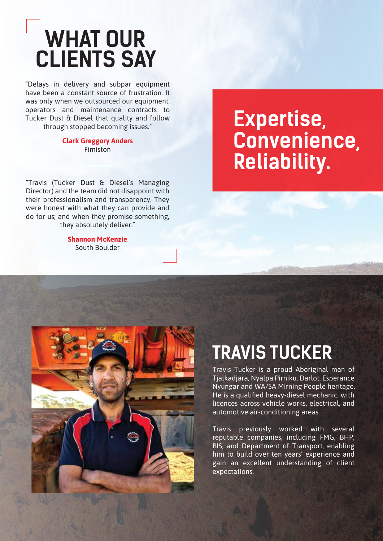# **WHAT OUR CLIENTS SAY**

"Delays in delivery and subpar equipment have been a constant source of frustration. It was only when we outsourced our equipment, operators and maintenance contracts to Tucker Dust & Diesel that quality and follow through stopped becoming issues."

#### **Clark Greggory Anders** Fimiston

"Travis (Tucker Dust & Diesel's Managing Director) and the team did not disappoint with their professionalism and transparency. They were honest with what they can provide and do for us; and when they promise something, they absolutely deliver."

> **Shannon McKenzie** South Boulder

# **Expertise, Convenience, Reliability.**

# **TRAVIS TUCKER**

Travis Tucker is a proud Aboriginal man of Tjalkadjara, Nyalpa Pirniku, Darlot, Esperance Nyungar and WA/SA Mirning People heritage. He is a qualified heavy-diesel mechanic, with licences across vehicle works, electrical, and automotive air-conditioning areas.

Travis previously worked with several reputable companies, including FMG, BHP, BIS, and Department of Transport, enabling him to build over ten years' experience and gain an excellent understanding of client expectations.